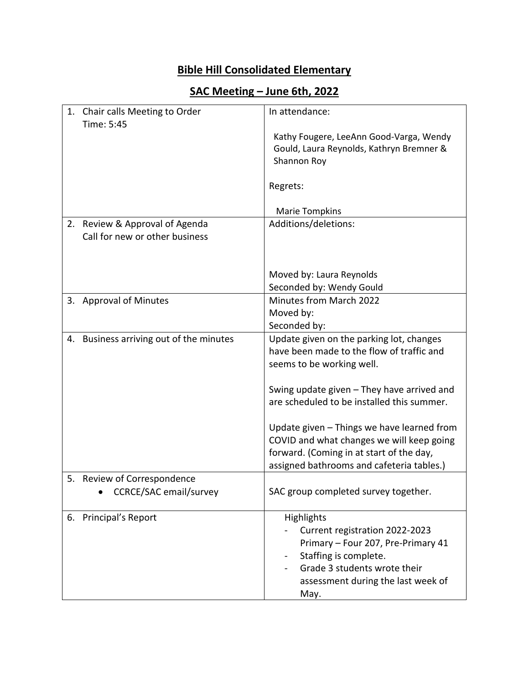## **Bible Hill Consolidated Elementary**

## **SAC Meeting – June 6th, 2022**

|    | 1. Chair calls Meeting to Order      | In attendance:                                                                                                                                                                            |
|----|--------------------------------------|-------------------------------------------------------------------------------------------------------------------------------------------------------------------------------------------|
|    | Time: 5:45                           | Kathy Fougere, LeeAnn Good-Varga, Wendy<br>Gould, Laura Reynolds, Kathryn Bremner &<br>Shannon Roy                                                                                        |
|    |                                      | Regrets:                                                                                                                                                                                  |
|    |                                      | <b>Marie Tompkins</b>                                                                                                                                                                     |
| 2. | Review & Approval of Agenda          | Additions/deletions:                                                                                                                                                                      |
|    | Call for new or other business       |                                                                                                                                                                                           |
|    |                                      |                                                                                                                                                                                           |
|    |                                      | Moved by: Laura Reynolds                                                                                                                                                                  |
|    |                                      | Seconded by: Wendy Gould                                                                                                                                                                  |
|    | 3. Approval of Minutes               | Minutes from March 2022                                                                                                                                                                   |
|    |                                      | Moved by:                                                                                                                                                                                 |
|    |                                      | Seconded by:                                                                                                                                                                              |
| 4. | Business arriving out of the minutes | Update given on the parking lot, changes<br>have been made to the flow of traffic and                                                                                                     |
|    |                                      | seems to be working well.                                                                                                                                                                 |
|    |                                      |                                                                                                                                                                                           |
|    |                                      | Swing update given - They have arrived and                                                                                                                                                |
|    |                                      | are scheduled to be installed this summer.                                                                                                                                                |
|    |                                      | Update given - Things we have learned from                                                                                                                                                |
|    |                                      | COVID and what changes we will keep going                                                                                                                                                 |
|    |                                      | forward. (Coming in at start of the day,                                                                                                                                                  |
|    |                                      | assigned bathrooms and cafeteria tables.)                                                                                                                                                 |
| 5. | Review of Correspondence             |                                                                                                                                                                                           |
|    | <b>CCRCE/SAC email/survey</b>        | SAC group completed survey together.                                                                                                                                                      |
|    | 6. Principal's Report                | Highlights<br>Current registration 2022-2023<br>Primary - Four 207, Pre-Primary 41<br>Staffing is complete.<br>Grade 3 students wrote their<br>assessment during the last week of<br>May. |